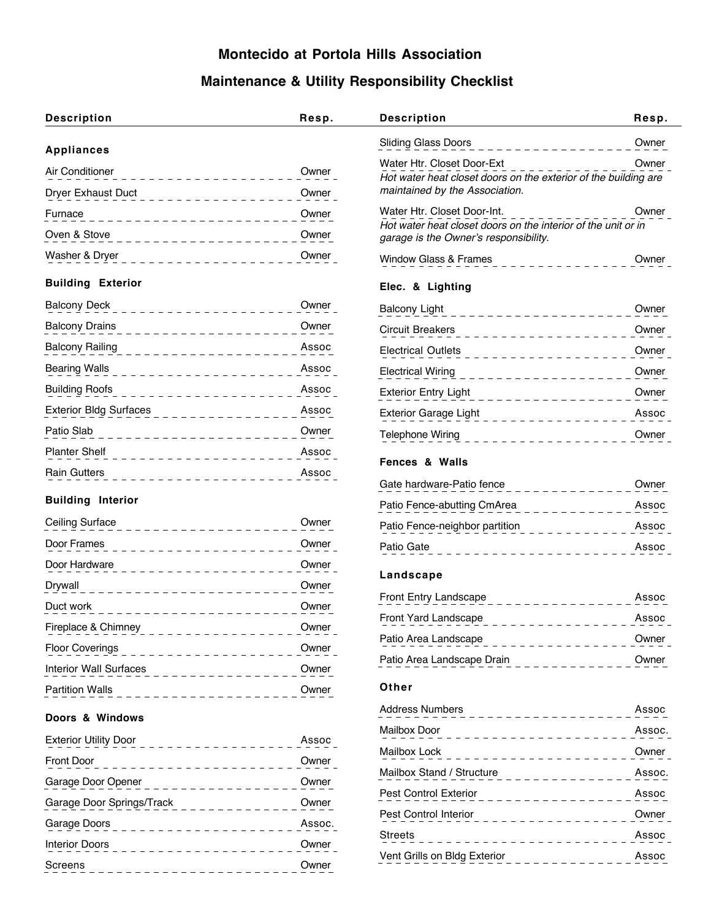## **Montecido at Portola Hills Association**

## **Maintenance & Utility Responsibility Checklist**

| <b>Description</b>                                 | Resp.  | <b>Description</b>                                                                                     | Resp.  |
|----------------------------------------------------|--------|--------------------------------------------------------------------------------------------------------|--------|
| <b>Appliances</b>                                  |        | <b>Sliding Glass Doors</b>                                                                             | Owner  |
| Air Conditioner                                    | Owner  | Water Htr. Closet Door-Ext                                                                             | Owner  |
| Dryer Exhaust Duct                                 | Owner  | Hot water heat closet doors on the exterior of the building are<br>maintained by the Association.      |        |
| Furnace                                            | Owner  | Water Htr. Closet Door-Int.                                                                            | Owner  |
| Oven & Stove                                       | Owner  | Hot water heat closet doors on the interior of the unit or in<br>garage is the Owner's responsibility. |        |
| Washer & Dryer                                     | Owner  | Window Glass & Frames                                                                                  | Owner  |
| <b>Building Exterior</b>                           |        | Elec. & Lighting                                                                                       |        |
| <b>Balcony Deck</b>                                | Owner  | <b>Balcony Light</b><br>$\frac{1}{2}$ = $\frac{1}{2}$ = $\frac{1}{2}$ = $\frac{1}{2}$ = $\frac{1}{2}$  | Owner  |
| <b>Balcony Drains</b><br><u> - - - - - - - - -</u> | Owner  | <b>Circuit Breakers</b><br>.                                                                           | Owner  |
| <b>Balcony Railing</b>                             | Assoc  | <b>Electrical Outlets</b>                                                                              | Owner  |
| <b>Bearing Walls</b>                               | Assoc  | <b>Electrical Wiring</b><br>.                                                                          | Owner  |
| <b>Building Roofs</b>                              | Assoc  | <b>Exterior Entry Light</b>                                                                            | Owner  |
| <b>Exterior Bldg Surfaces</b>                      | Assoc  | Exterior Garage Light<br>. <u>.</u>                                                                    | Assoc  |
| Patio Slab                                         | Owner  | Telephone Wiring                                                                                       | Owner  |
| <b>Planter Shelf</b>                               | Assoc  | <b>Fences &amp; Walls</b>                                                                              |        |
| <b>Rain Gutters</b>                                | Assoc  | Gate hardware-Patio fence                                                                              | Owner  |
| <b>Building Interior</b>                           |        | Patio Fence-abutting CmArea                                                                            | Assoc  |
| Ceiling Surface                                    | Owner  | Patio Fence-neighbor partition                                                                         | Assoc  |
| Door Frames                                        | Owner  | Patio Gate                                                                                             | Assoc  |
| Door Hardware                                      | Owner  |                                                                                                        |        |
| Drywall                                            | Owner  | Landscape                                                                                              |        |
| Duct work                                          | Owner  | Front Entry Landscape                                                                                  | Assoc  |
| Fireplace & Chimney                                | Owner  | Front Yard Landscape                                                                                   | Assoc  |
| <b>Floor Coverings</b>                             | Owner  | Patio Area Landscape                                                                                   | Owner  |
| <b>Interior Wall Surfaces</b>                      | Owner  | Patio Area Landscape Drain                                                                             | Owner  |
| <b>Partition Walls</b>                             | Owner  | Other                                                                                                  |        |
| Doors & Windows                                    |        | <b>Address Numbers</b>                                                                                 | Assoc  |
| <b>Exterior Utility Door</b>                       | Assoc  | Mailbox Door                                                                                           | Assoc. |
| ے لے لے لے لے لے ل<br>Front Door                   | Owner  | Mailbox Lock                                                                                           | Owner  |
| .<br>Garage Door Opener                            | Owner  | Mailbox Stand / Structure                                                                              | Assoc. |
| . <u>.</u><br>Garage Door Springs/Track            | Owner  | Pest Control Exterior                                                                                  | Assoc  |
| Garage Doors                                       | Assoc. | Pest Control Interior                                                                                  | Owner  |
| ____________<br><b>Interior Doors</b>              | Owner  | <b>Streets</b>                                                                                         | Assoc  |
| _ _ _ _ _ _ _ _ _ _ _<br>Screens                   | Owner  | Vent Grills on Bldg Exterior                                                                           | Assoc  |
|                                                    |        |                                                                                                        |        |